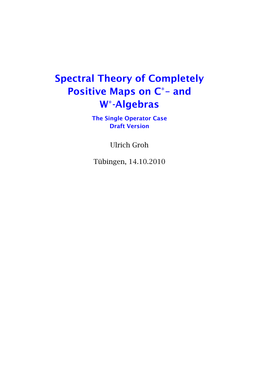## Spectral Theory of Completely Positive Maps on C\*- and W -Algebras

The Single Operator Case Draft Version

Ulrich Groh

Tübingen, 14.10.2010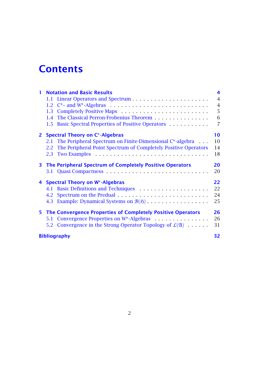### **Contents**

| $\mathbf{I}$ | <b>Notation and Basic Results</b>                                                 | 4              |
|--------------|-----------------------------------------------------------------------------------|----------------|
|              |                                                                                   | $\overline{4}$ |
|              |                                                                                   | $\overline{4}$ |
|              | 1.3                                                                               | 5              |
|              | The Classical Perron-Frobenius Theorem<br>1.4                                     | 6              |
|              | Basic Spectral Properties of Positive Operators<br>$1.5^{\circ}$                  | $\overline{7}$ |
| $\mathbf{2}$ | <b>Spectral Theory on C*-Algebras</b>                                             | 10             |
|              | 2.1 The Peripheral Spectrum on Finite-Dimensional C*-algebra                      | 10             |
|              | 2.2 The Peripheral Point Spectrum of Completely Positive Operators                | 14             |
|              | 2.3                                                                               | 18             |
|              | 3 The Peripheral Spectrum of Completely Positive Operators                        | 20             |
|              | 3.1                                                                               | 20             |
|              | 4 Spectral Theory on W*-Algebras                                                  | 22             |
|              | 4.1 Basic Definitions and Techniques                                              | 22             |
|              | 4.2                                                                               | 24             |
|              | Example: Dynamical Systems on $\mathcal{B}(5)$<br>4.3                             | 25             |
|              | 5 The Convergence Properties of Completely Positive Operators                     | 26             |
|              | Convergence Properties on W <sup>*</sup> -Algebras<br>5.1                         | 26             |
|              | Convergence in the Strong Operator Topology of $\mathcal{L}(\mathfrak{A})$<br>5.2 | 31             |
|              | <b>Bibliography</b>                                                               |                |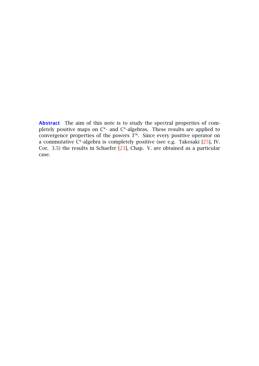Abstract The aim of this note is to study the spectral properties of completely positive maps on C<sup>\*</sup>- and C<sup>\*</sup>-algebras. These results are applied to convergence properties of the powers  $T^n$ . Since every positive operator on a commutative C\*-algebra is completely positive (see e.g. Takesaki [\[25\]](#page-32-0), IV. Cor. 3.5) the results in Schaefer [\[23\]](#page-32-1), Chap. V. are obtained as a particular case.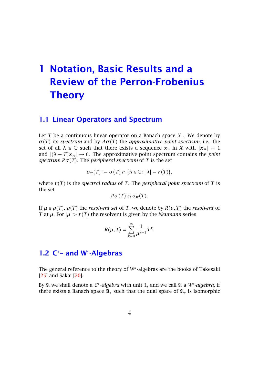## <span id="page-3-0"></span>1 Notation, Basic Results and a Review of the Perron-Frobenius **Theory**

#### <span id="page-3-1"></span>1.1 Linear Operators and Spectrum

Let *T* be a continuous linear operator on a Banach space *X* . We denote by  $\sigma(T)$  its *spectrum* and by  $A\sigma(T)$  the *approximative point spectrum*, i.e. the set of all  $\lambda \in \mathbb{C}$  such that there exists a sequence  $x_n$  in *X* with  $||x_n|| = 1$ and  $\|(\lambda - T)x_n\| \to 0$ . The approximative point spectrum contains the *point spectrum*  $P\sigma(T)$ . The *peripheral spectrum* of *T* is the set

$$
\sigma_{\pi}(T) := \sigma(T) \cap \{ \lambda \in \mathbb{C} \colon |\lambda| = r(T) \},\
$$

where  $r(T)$  is the *spectral radius* of *T*. The *peripheral point spectrum* of *T* is the set

$$
P\sigma(T)\cap\sigma_{\pi}(T).
$$

If  $\mu \in \rho(T)$ ,  $\rho(T)$  the *resolvent set* of *T*, we denote by  $R(\mu, T)$  the *resolvent* of *T* at  $\mu$ . For  $|\mu| > r(T)$  the resolvent is given by the *Neumann* series

$$
R(\mu, T) = \sum_{k=0}^{\infty} \frac{1}{\mu^{k-1}} T^k.
$$

#### <span id="page-3-2"></span>1.2 C<sup>\*</sup>- and W<sup>\*</sup>-Algebras

The general reference to the theory of W -algebras are the books of Takesaki [\[25\]](#page-32-0) and Sakai [\[20\]](#page-32-2).

By  $\mathfrak A$  we shall denote a C<sup>\*</sup>-algebra with unit 1, and we call  $\mathfrak A$  a W<sup>\*</sup>-algebra, if there exists a Banach space  $\mathfrak{A}_*$  such that the dual space of  $\mathfrak{A}_*$  is isomorphic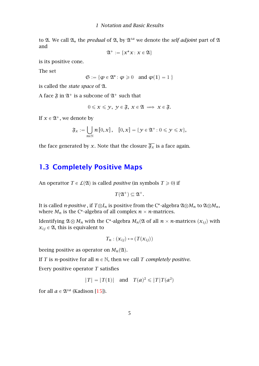to  $\mathfrak A$ . We call  $\mathfrak A_*$  the *predual* of  $\mathfrak A$ , by  $\mathfrak A^{sa}$  we denote the *self adjoint* part of  $\mathfrak A$ and

$$
\mathfrak{A}^+ := \{x^*x : x \in \mathfrak{A}\}
$$

is its positive cone.

The set

$$
\mathfrak{S}:=\{\phi\in\mathfrak{A}^*\colon\phi\geqslant 0\quad\text{and}\ \phi(\mathbb{1})=1\ \}
$$

is called the *state space* of A.

A face  $\mathfrak{F}$  in  $\mathfrak{A}^+$  is a subcone of  $\mathfrak{A}^+$  such that

$$
0\leqslant x\leqslant y, \ y\in \mathfrak{F}, \ x\in \mathfrak{A} \implies x\in \mathfrak{F}.
$$

If  $x \in \mathfrak{A}^+$ , we denote by

$$
\mathfrak{F}_x := \bigcup_{n \in \mathbb{N}} n [0, x], \quad [0, x] = \{ \mathcal{Y} \in \mathfrak{A}^+ \colon 0 \leqslant \mathcal{Y} \leqslant x \},
$$

the face generated by *x*. Note that the closure  $\overline{\mathfrak{F}_x}$  is a face again.

#### <span id="page-4-0"></span>1.3 Completely Positive Maps

An operattor  $T \in \mathcal{L}(\mathfrak{A})$  is called *positive* (in symbols  $T \geq 0$ ) if

 $T(\mathfrak{A}^+) \subseteq \mathfrak{A}^+$ .

It is called *n-positive* , if  $T \otimes I_n$  is positive from the C\*-algebra  $\mathfrak{A} \otimes M_n$  to  $\mathfrak{A} \otimes M_n$ , where  $M_n$  is the C\*-algebra of all complex  $n \times n$ -matrices.

Identifying  $\mathfrak{A} \otimes M_n$  with the C\*-algebra  $M_n(\mathfrak{A}$  of all  $n \times n$ -matrices  $(x_{ij})$  with  $x_{ij} \in \mathfrak{A}$ , this is equivalent to

$$
T_n : (x_{ij}) \mapsto (T(x_{ij}))
$$

beeing positive as operator on  $M_n(\mathfrak{A})$ .

If *T* is *n*-positive for all  $n \in \mathbb{N}$ , then we call *T completely positive*.

Every positive operator *T* satisfies

$$
||T|| = ||T(1)||
$$
 and  $T(a)^2 \le ||T||T(a^2)$ 

for all  $a \in \mathfrak{A}^{sa}$  (Kadison [\[15\]](#page-31-1)).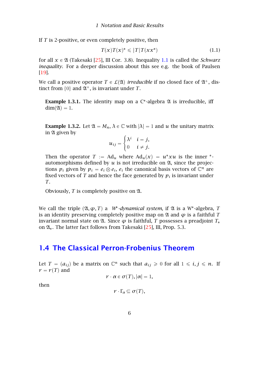If *T* is 2-positive, or even completely positive, then

<span id="page-5-1"></span>
$$
T(x)T(x)^* \leqslant \|T\|T(xx^*)\tag{1.1}
$$

for all  $x \in \mathfrak{A}$  (Takesaki [\[25\]](#page-32-0), III Cor. 3.8). Inequality [1.1](#page-5-1) is called the *Schwarz inequality*. For a deeper discussion about this see e.g. the book of Paulsen [\[19\]](#page-32-3).

We call a positive operator  $T \in L(\mathfrak{A})$  *irreducible* if no closed face of  $\mathfrak{A}^+$ , distinct from  $\{0\}$  and  $\mathfrak{A}^+$ , is invariant under *T*.

<span id="page-5-3"></span>**Example 1.3.1.** The identity map on a  $C^*$ -algebra  $\mathfrak A$  is irreducible, iff  $dim(\mathfrak{A}) = 1$ .

<span id="page-5-2"></span>**Example 1.3.2.** Let  $\mathfrak{A} = M_n$ ,  $\lambda \in \mathbb{C}$  with  $|\lambda| = 1$  and  $u$  the unitary matrix in  $\mathfrak A$  given by

$$
u_{ij} = \begin{cases} \lambda^i & i = j, \\ 0 & i \neq j. \end{cases}
$$

Then the operator  $T := Ad_u$  where  $Ad_u(x) = u^*xu$  is the inner  $*$ automorphisms defined by  $u$  is not irreducible on  $\mathfrak{A}$ , since the projections  $p_i$  given by  $p_i = e_i \otimes e_i$ ,  $e_i$  the canonical basis vectors of  $\mathbb{C}^n$  are fixed vectors of  $T$  and hence the face generated by  $p_i$  is invariant under *T*.

Obviously, *T* is completely positive on A.

We call the triple  $(\mathfrak{A}, \varphi, T)$  a *W*<sup>\*</sup>-dynamical system, if  $\mathfrak A$  is a W<sup>\*</sup>-algebra, *T* is an identity preserving completely positive map on  $\mathfrak A$  and  $\varphi$  is a faithful *T* invariant normal state on  $\mathfrak{A}$ . Since  $\varphi$  is faithful, *T* possesses a preadjoint  $T_*$ on  $\mathfrak{A}_*$ . The latter fact follows from Takesaki [\[25\]](#page-32-0), III, Prop. 5.3.

#### <span id="page-5-0"></span>1.4 The Classical Perron-Frobenius Theorem

Let  $T = (a_{ij})$  be a matrix on  $\mathbb{C}^n$  such that  $a_{ij} \geq 0$  for all  $1 \leq i, j \leq n$ . If  $r = r(T)$  and

$$
r\cdot \alpha\in \sigma(T), |\alpha|=1,
$$

then

$$
r\cdot\Gamma_{\alpha}\subseteq\sigma(T),
$$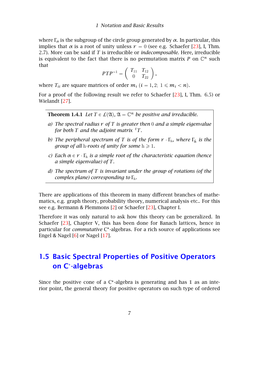where <sup>Γ</sup>*<sup>α</sup>* is the subgroup of the circle group generated by *<sup>α</sup>*. In particular, this implies that *α* is a root of unity unless  $r = 0$  (see e.g. Schaefer [\[23\]](#page-32-1), I, Thm. 2.7). More can be said if *T* is irreducible or *indecomposable*. Here, irreducible is equivalent to the fact that there is no permutation matrix  $P$  on  $\mathbb{C}^n$  such that

$$
PTP^{-1} = \left( \begin{array}{cc} T_{11} & T_{12} \\ 0 & T_{22} \end{array} \right),
$$

where  $T_{ii}$  are square matrices of order  $m_i$  ( $i = 1, 2; 1 \le m_i < n$ ).

For a proof of the following result we refer to Schaefer [\[23\]](#page-32-1), I, Thm. 6.5) or Wielandt [\[27\]](#page-32-4).

**Theorem 1.4.1** *Let*  $T \in \mathcal{L}(\mathfrak{A})$ ,  $\mathfrak{A} = \mathbb{C}^n$  *be positive and irreducible.* 

- *a) The spectral radius r of T is greater then* 0 *and a simple eigenvalue for both T and the adjoint matrix <sup>t</sup>T.*
- *b)* The peripheral spectrum of *T* is of the form  $r \cdot \Gamma_h$ , where  $\Gamma_h$  is the *group of all* h-roots of unity for some  $h \ge 1$ .
- *c) Each*  $\alpha \in \gamma \cdot \Gamma_h$  *is a simple root of the characteristic equation (hence a simple eigenvalue) of T.*
- *d) The spectrum of T is invariant under the group of rotations (of the complex plane) corresponding to* <sup>Γ</sup>h*.*

There are applications of this theorem in many different branches of mathematics, e.g. graph theory, probability theory, numerical analysis etc.. For this see e.g. Bermann & Plemmons [\[2\]](#page-31-2) or Schaefer [\[23\]](#page-32-1), Chapter I.

Therefore it was only natural to ask how this theory can be generalized. In Schaefer [\[23\]](#page-32-1), Chapter V, this has been done for Banach lattices, hence in particular for *commutative* C\*-algebras. For a rich source of applications see Engel & Nagel  $[6]$  or Nagel  $[17]$ .

#### <span id="page-6-0"></span>1.5 Basic Spectral Properties of Positive Operators on C -algebras

Since the positive cone of a  $C^*$ -algebra is generating and has  $1$  as an interior point, the general theory for positive operators on such type of ordered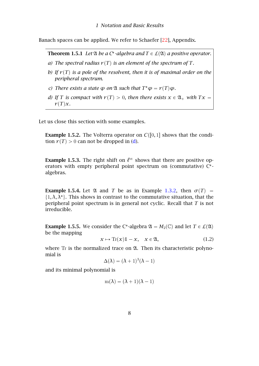Banach spaces can be applied. We refer to Schaefer [\[22\]](#page-32-5), Appendix.

**Theorem 1.5.1** Let  $\mathfrak A$  *be a*  $C^*$ -algebra and  $T \in \mathcal L(\mathfrak A)$  a positive operator.

- *a)* The spectral radius  $r(T)$  is an element of the spectrum of T.
- *b)* If  $r(T)$  is a pole of the resolvent, then it is of maximal order on the *peripheral spectrum.*
- *c*) *There exists a state*  $\varphi$  *on*  $\mathfrak A$  *such that*  $T^*\varphi = r(T)\varphi$ *.*
- <span id="page-7-0"></span>*d)* If T is compact with  $r(T) > 0$ , then there exists  $x \in \mathfrak{A}_+$  with  $Tx =$  $r(T)x$ *.*

Let us close this section with some examples.

**Example 1.5.2.** The Volterra operator on  $C([0,1])$  shows that the condition  $r(T) > 0$  can not be dropped in [\(d\)](#page-7-0).

<span id="page-7-3"></span>**Example 1.5.3.** The right shift on  $\ell^{\infty}$  shows that there are positive operators with empty peripheral point spectrum on (commutative) C\*algebras.

<span id="page-7-2"></span>**Example 1.5.4.** Let  $\mathfrak{A}$  and *T* be as in Example [1.3.2,](#page-5-2) then  $\sigma(T)$  =  $\{1, \lambda, \lambda^*\}$ . This shows in contrast to the commutative situation, that the peripheral point spectrum is in general not cyclic. Recall that *T* is not irreducible.

<span id="page-7-1"></span>**Example 1.5.5.** We consider the C<sup>\*</sup>-algebra  $\mathfrak{A} = M_2(\mathbb{C})$  and let  $T \in L(\mathfrak{A})$ be the mapping

$$
x \mapsto \text{Tr}(x)\mathbb{1} - x, \quad x \in \mathfrak{A}, \tag{1.2}
$$

where  $Tr$  is the normalized trace on  $\mathfrak{A}$ . Then its characteristic polynomial is

$$
\Delta(\lambda) = (\lambda + 1)^3 (\lambda - 1)
$$

and its minimal polynomial is

$$
m(\lambda) = (\lambda + 1)(\lambda - 1)
$$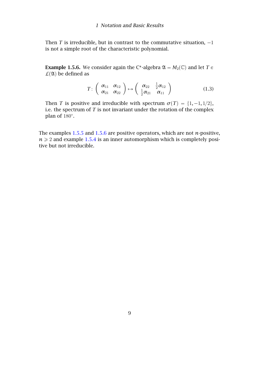Then  $T$  is irreducible, but in contrast to the commutative situation,  $-1$ is not a simple root of the characteristic polynomial.

<span id="page-8-0"></span>**Example 1.5.6.** We consider again the C<sup>\*</sup>-algebra  $\mathfrak{A} = M_2(\mathbb{C})$  and let  $T \in \mathbb{C}$  $\mathcal{L}(\mathfrak{A})$  be defined as

$$
T: \left(\begin{array}{cc} \alpha_{11} & \alpha_{12} \\ \alpha_{21} & \alpha_{22} \end{array}\right) \mapsto \left(\begin{array}{cc} \alpha_{22} & \frac{1}{2}\alpha_{12} \\ \frac{1}{2}\alpha_{21} & \alpha_{11} \end{array}\right) \tag{1.3}
$$

Then *T* is positive and irreducible with spectrum  $\sigma(T) = \{1, -1, 1/2\}$ , i.e. the spectrum of *T* is not invariant under the rotation of the complex plan of 180 .

The examples [1.5.5](#page-7-1) and [1.5.6](#page-8-0) are positive operators, which are not *n*-positive,  $n \geq 2$  and example [1.5.4](#page-7-2) is an inner automorphism which is completely positive but not irreducible.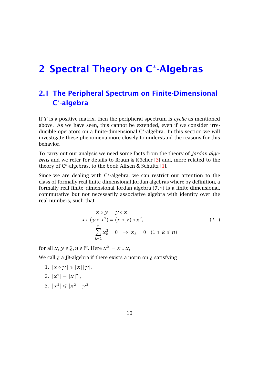# <span id="page-9-0"></span>2 Spectral Theory on C<sup>\*</sup>-Algebras

### <span id="page-9-1"></span>2.1 The Peripheral Spectrum on Finite-Dimensional C -algebra

If *T* is a positive matrix, then the peripheral spectrum is *cyclic* as mentioned above. As we have seen, this cannot be extended, even if we consider irreducible operators on a finite-dimensional C -algebra. In this section we will investigate these phenomena more closely to understand the reasons for this behavior.

To carry out our analysis we need some facts from the theory of *Jordan algebras* and we refer for details to Braun & Köcher [\[3\]](#page-31-5) and, more related to the theory of C\*-algebras, to the book Alfsen & Schultz [\[1\]](#page-31-6).

Since we are dealing with  $C^*$ -algebra, we can restrict our attention to the class of formally real finite-dimensional Jordan algebras where by definition, a formally real finite-dimensional Jordan algebra  $(\mathfrak{J}, \circ)$  is a finite-dimensional, commutative but not necessarily associative algebra with identity over the real numbers, such that

$$
x \circ y = y \circ x
$$
  
\n
$$
x \circ (y \circ x^{2}) = (x \circ y) \circ x^{2},
$$
  
\n
$$
\sum_{k=1}^{n} x_{k}^{2} = 0 \implies x_{k} = 0 \quad (1 \le k \le n)
$$
\n(2.1)

for all  $x, y \in \mathfrak{J}, n \in \mathbb{N}$ . Here  $x^2 := x \circ x$ ,

We call  $\mathfrak J$  a JB-algebra if there exists a norm on  $\mathfrak J$  satisfying

1.  $\|x \circ y\| \leqslant \|x\| \|y\|$ ,

2. 
$$
||x^2|| = ||x||^2,
$$

3.  $||x^2|| \le ||x^2 + y^2||$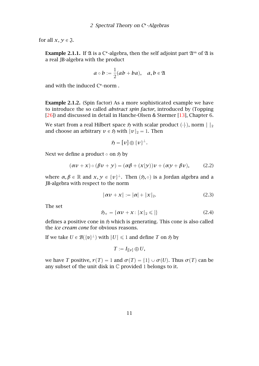for all  $x, y \in \mathfrak{J}$ .

**Example 2.1.1.** If  $\mathfrak A$  is a C<sup>\*</sup>-algebra, then the self adjoint part  $\mathfrak A^{\text{sa}}$  of  $\mathfrak A$  is a real JB-algebra with the product

$$
a\circ b:=\frac{1}{2}(ab+ba),\quad a,b\in\mathfrak{A}
$$

and with the induced C -norm .

Example 2.1.2. (Spin factor) As a more sophisticated example we have to introduce the so called *abstract spin factor*, introduced by (Topping [\[26\]](#page-32-6)) and discussed in detail in Hanche-Olsen & Størmer [\[13\]](#page-31-7), Chapter 6.

We start from a real Hilbert space  $\mathfrak H$  with scalar product  $(\cdot|\cdot)$ , norm  $\|\cdot\|_2$ and choose an arbitrary  $v \in \mathfrak{H}$  with  $||v||_2 = 1$ . Then

$$
\mathfrak{H} = \overline{[\nu]}\oplus \overline{\{ \nu \}}^{\perp}.
$$

Next we define a product  $\circ$  on  $\mathfrak{H}$  by

$$
(\alpha v + x) \circ (\beta v + y) = (\alpha \beta + (x|y))v + (\alpha y + \beta v), \quad (2.2)
$$

where  $\alpha, \beta \in \mathbb{R}$  and  $x, y \in \{v\}^{\perp}$ . Then  $( \mathfrak{H}, \circ )$  is a Jordan algebra and a JB-algebra with respect to the norm

$$
\|\alpha v + x\| := |\alpha| + \|x\|_2. \tag{2.3}
$$

The set

$$
\mathfrak{H}_{+} = \{ \alpha v + x : ||x||_{2} \leqslant || \}
$$
\n(2.4)

defines a positive cone in  $\mathfrak{H}$  which is generating. This cone is also called the *ice cream cone* for obvious reasons.

If we take  $U \in \mathcal{B}(\{\mathfrak{v}\}^{\perp})$  with  $\|U\| \leqslant 1$  and define  $T$  on  $\mathfrak{H}$  by

$$
T:=I_{|[v]}\oplus U,
$$

we have *T* positive,  $r(T) = 1$  and  $\sigma(T) = \{1\} \cup \sigma(U)$ . Thus  $\sigma(T)$  can be any subset of the unit disk in  $\mathbb C$  provided 1 belongs to it.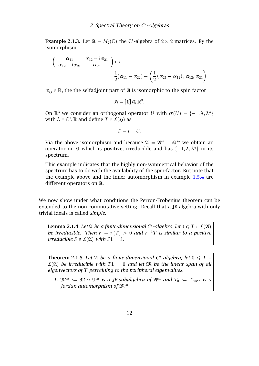**Example 2.1.3.** Let  $\mathfrak{A} = M_2(\mathbb{C})$  the C<sup>\*</sup>-algebra of  $2 \times 2$  matrices. By the isomorphism

$$
\left(\begin{array}{cc} \alpha_{11} & \alpha_{12}+{\rm i}\alpha_{21}\\ \alpha_{12}-{\rm i}\alpha_{21} & \alpha_{22} \end{array}\right)\mapsto \\ \frac{1}{2}(\alpha_{11}+\alpha_{22})+\left(\frac{1}{2}\left(\alpha_{21}-\alpha_{12}\right),\alpha_{12},\alpha_{21}\right)
$$

 $\alpha_{ij} \in \mathbb{R}$ , the the selfadjoint part of  $\mathfrak A$  is isomorphic to the spin factor

$$
\mathfrak{H} = [\mathbb{1}] \oplus \mathbb{R}^3.
$$

On  $\mathbb{R}^3$  we consider an orthogonal operator *U* with  $\sigma(U) = \{-1, \lambda, \lambda^*\}$ with  $\lambda \in \mathbb{C} \setminus \mathbb{R}$  and define  $T \in \mathcal{L}(5)$  as

$$
T=I+U.
$$

Via the above isomorphism and because  $\mathfrak{A} = \mathfrak{A}^{sa} + i \mathfrak{A}^{sa}$  we obtain an operator on  $\mathfrak A$  which is positive, irreducible and has  $\{-1, \lambda, \lambda^*\}$  in its spectrum.

This example indicates that the highly non-symmetrical behavior of the spectrum has to do with the availability of the spin-factor. But note that the example above and the inner automorphism in example [1.5.4](#page-7-2) are different operators on  $\mathfrak{A}$ .

We now show under what conditions the Perron-Frobenius theorem can be extended to the non-commutative setting. Recall that a JB-algebra with only trivial ideals is called *simple*.

**Lemma 2.1.4** Let  $\mathfrak A$  be a finite-dimensional C\*-algebra, let  $0 \leqslant T \in \mathcal L(\mathfrak A)$ *be irreducible. Then*  $r = r(T) > 0$  *and*  $r^{-1}T$  *is similar to a positive irreducible*  $S \in L(\mathfrak{A})$  *with*  $S1 = 1$ *.* 

**Theorem 2.1.5** Let  $\mathfrak A$  be a finite-dimensional C\*-algebra, let  $0 \leqslant T \in \mathfrak A$  $\mathcal{L}(\mathfrak{A})$  be irreducible with  $T1 = 1$  and let  $\mathfrak{M}$  be the linear span of all *eigenvectors of T pertaining to the peripheral eigenvalues.*

*1.*  $\mathfrak{M}^{\text{sa}} := \mathfrak{M} \cap \mathfrak{A}^{\text{sa}}$  *is a JB-subalgebra of*  $\mathfrak{A}^{\text{sa}}$  *and*  $T_0 := T_{|\mathfrak{M}^{\text{sa}}}$  *is a Jordan automorphism of* Msa *.*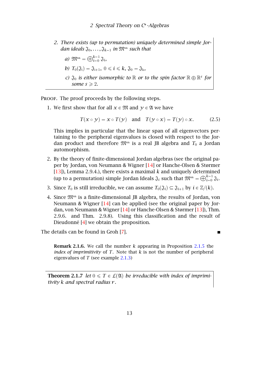*2. There exists (up to permutation) uniquely determined simple Jordan ideals*  $\mathfrak{J}_0, \ldots, \mathfrak{J}_{k-1}$  *in*  $\mathfrak{M}^{\text{sa}}$  *such that* 

a) 
$$
\mathfrak{M}^{\text{sa}} = \bigoplus_{i=0}^{k-1} \mathfrak{J}_i
$$
,

b) 
$$
T_0(\mathfrak{J}_i) = \mathfrak{J}_{i+1}, 0 \le i \le k, \mathfrak{J}_0 = \mathfrak{J}_k
$$
,

*c)*  $\mathfrak{J}_0$  *is either isomorphic to*  $\mathbb R$  *or to the spin factor*  $\mathbb R \oplus \mathbb R^s$  *for some*  $s \ge 2$ *.* 

PROOF. The proof proceeds by the following steps.

1. We first show that for all  $x \in \mathfrak{M}$  and  $y \in \mathfrak{A}$  we have

$$
T(x \circ y) = x \circ T(y) \quad \text{and} \quad T(y \circ x) = T(y) \circ x. \tag{2.5}
$$

This implies in particular that the linear span of all eigenvectors pertaining to the peripheral eigenvalues is closed with respect to the Jordan product and therefore  $\mathfrak{M}^{\text{sa}}$  is a real JB algebra and  $T_0$  a Jordan automorphism.

- 2. By the theory of finite-dimensional Jordan algebras (see the original paper by Jordan, von Neumann & Wigner [\[14\]](#page-31-8) or Hanche-Olsen & Størmer [\[13\]](#page-31-7)), Lemma 2.9.4.), there exists a maximal *k* and uniquely determined (up to a permutation) simple Jordan Ideals  $\mathfrak{J}_i$  such that  $\mathfrak{M}^{\text{sa}}=\bigoplus_{i=0}^{k-1}\mathfrak{J}_i.$
- 3. Since  $T_0$  is still irreducible, we can assume  $T_0(\mathfrak{J}_i) \subseteq \mathfrak{J}_{i+1}$  by  $i \in \mathbb{Z}/(k)$ .
- 4. Since Msa is a finite-dimensional JB algebra, the results of Jordan, von Neumann & Wigner [\[14\]](#page-31-8) can be applied (see the original paper by Jordan, von Neumann & Wigner [\[14\]](#page-31-8) or Hanche-Olsen & Størmer [\[13\]](#page-31-7)), Thm. 2.9.6. and Thm. 2.9.8). Using this classification and the result of Dieudonné [\[4\]](#page-31-9) we obtain the proposition.

The details can be found in Groh [\[7\]](#page-31-10).

Remark 2.1.6. We call the number *k* appearing in Proposition [2.1.5](#page-7-1) the *index of imprimitivity* of *T*. Note that *k* is not the number of peripheral eigenvalues of *T* (see example [2.1.3\)](#page-7-3)

<span id="page-12-0"></span>**Theorem 2.1.7** *let*  $0 \le T \in L(\mathfrak{A})$  *be irreducible with index of imprimitivity k and spectral radius r .*

 $\blacksquare$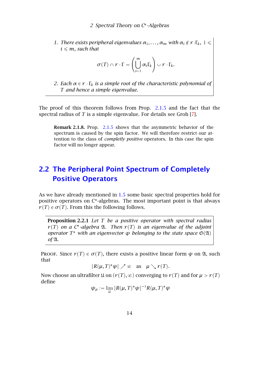*1. There exists peripheral eigenvalues*  $\alpha_1, \ldots, \alpha_m$  *with*  $\alpha_i \notin r \cdot \Gamma_k$ ,  $1 \leq$  $i \leq m$ *, such that* 

$$
\sigma(T) \cap r \cdot \Gamma = \left(\bigcup_{i=1}^m \alpha_i \Gamma_k\right) \cup r \cdot \Gamma_k.
$$

*2. Each*  $\alpha \in r \cdot \Gamma_k$  *is a simple root of the characteristic polynomial of T and hence a simple eigenvalue.*

The proof of this theorem follows from Prop. [2.1.5](#page-7-1) and the fact that the spectral radius of *T* is a simple eigenvalue. For details see Groh [\[7\]](#page-31-10).

Remark 2.1.8. Prop. [2.1.5](#page-7-1) shows that the asymmetric behavior of the spectrum is caused by the spin factor. We will therefore restrict our attention to the class of *completly positive* operators. In this case the spin factor will no longer appear.

#### <span id="page-13-0"></span>2.2 The Peripheral Point Spectrum of Completely Positive Operators

As we have already mentioned in [1.5](#page-6-0) some basic spectral properties hold for positive operators on C\*-algebras. The most important point is that always  $r(T) \in \sigma(T)$ . From this the following follows.

Proposition 2.2.1 *Let T be a positive operator with spectral radius*  $r(T)$  on a C<sup>\*</sup>-algebra  $\mathfrak{A}$ *. Then*  $r(T)$  is an eigenvalue of the adjoint *operator*  $T^*$  with an eigenvector  $\varphi$  *belonging to the state space*  $\mathfrak{S}(\mathfrak{A})$  $of$  2 $\lambda$ *.* 

PROOF. Since  $r(T) \in \sigma(T)$ , there exists a positive linear form  $\psi$  on  $\mathfrak{A}$ , such that

$$
\|R(\mu,T)^*\psi\| \nearrow \infty \quad \text{as} \quad \mu \searrow r(T).
$$

Now choose an ultrafilter  $\mathfrak{U}$  on  $(r(T), \infty)$  converging to  $r(T)$  and for  $\mu > r(T)$ define

$$
\psi_{\mu} := \lim_{\mathfrak{U}} \|R(\mu, T)^* \psi\|^{-1} R(\mu, T)^* \psi
$$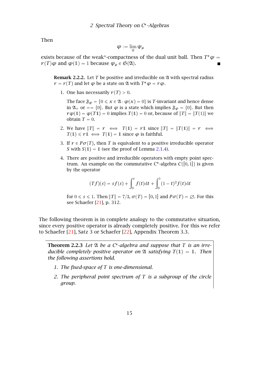Then

$$
\varphi:=\lim_{\mathfrak{U}}\psi_\mu
$$

exists because of the weak\*-compactness of the dual unit ball. Then  $T^*\varphi = \varphi$ *r*(*T*) $\varphi$  and  $\varphi$ (1) = 1 because  $\psi_{\mu} \in \mathfrak{S}(\mathfrak{A})$ .

**Remark 2.2.2.** Let *T* be positive and irreducible on 24 with spectral radius  $r = r(T)$  and let  $\varphi$  be a state on  $\mathfrak A$  with  $T^*\varphi = r\varphi$ .

1. One has necessarily  $r(T) > 0$ .

The face  $\mathfrak{F}_{\varphi} = \{0 \leq x \in \mathfrak{A}: \varphi(x) = 0\}$  is *T*-invariant and hence dense in  $\mathfrak{A}_+$  or == {0}. But  $\varphi$  is a state which implies  $\mathfrak{F}_{\varphi} = \{0\}$ . But then  $r\varphi(1) = \varphi(T1) = 0$  implies  $T(1) = 0$  or, because of  $||T|| = ||T(1)||$  we obtain  $T = 0$ .

- 2. We have  $||T|| = r \iff T(1) = r1$  since  $||T|| = ||T(1)|| = r \iff T(1) = r$  $T(1) \le r1 \iff T(1) = 1$  since  $\varphi$  is faithful.
- 3. If  $r \in P\sigma(T)$ , then *T* is equivalent to a positive irreducible operator *S* with  $S(1) = 1$  (see the proof of Lemma [2.1.4\)](#page-7-2).
- 4. There are positive and irreducible operators with empty point spectrum. An example on the commutative  $C^*$ -algebra  $C([0,1])$  is given by the operator

$$
(Tf)(s) = sf(s) + \int_0^s f(t)dt + \int_0^1 (1-t)^2 f(t)dt
$$

for  $0 \le s \le 1$ . Then  $||T|| = 7/3$ ,  $\sigma(T) = [0, 1]$  and  $P\sigma(T) = \emptyset$ . For this see Schaefer [\[21\]](#page-32-7), p. 312.

The following theorem is in complete analogy to the commutative situation, since every positive operator is already completely positive. For this we refer to Schaefer [\[21\]](#page-32-7), Satz 3 or Schaefer [\[22\]](#page-32-5), Appendix Theorem 3.3.

Theorem 2.2.3 Let  $\mathfrak A$  *be a C*<sup>\*</sup>-algebra and suppose that T is an irre*ducible completely positive operator on*  $\mathfrak A$  *satisfying*  $T(1) = 1$ *. Then the following assertions hold.*

- *1. The fixed-space of T is one-dimensional.*
- *2. The peripheral point spectrum of T is a subgroup of the circle group.*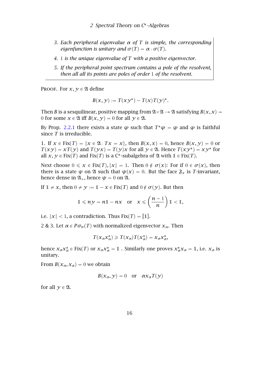- *3. Each peripheral eigenvalue α of T is simple, the corresponding eigenfunction is unitary and*  $\sigma(T) = \alpha \cdot \sigma(T)$ *.*
- *4.* 1 *is the unique eigenvalue of T with a positive eigenvector.*
- <span id="page-15-0"></span>*5. If the peripheral point spectrum contains a pole of the resolvent, then all all its points are poles of order* 1 *of the resolvent.*

PROOF. For  $x, y \in \mathfrak{A}$  define

$$
B(x, y) := T(xy^*) - T(x)T(y)^*.
$$

Then *B* is a sesquilinear, positive mapping from  $\mathfrak{A}\times\mathfrak{A}\rightarrow \mathfrak{A}$  satisfying  $B(x,x)=0$ 0 for some  $x \in \mathfrak{A}$  iff  $B(x, y) = 0$  for all  $y \in \mathfrak{A}$ .

By Prop. [2.2.1](#page-5-3) there exists a state  $\varphi$  such that  $T^*\varphi = \varphi$  and  $\varphi$  is faithful since *T* is irreducible.

1. If  $x \in Fix(T) = \{x \in \mathfrak{A}: Tx = x\}$ , then  $B(x, x) = 0$ , hence  $B(x, y) = 0$  or  $T(xy) = xT(y)$  and  $T(yx) = T(y)x$  for all  $y \in \mathfrak{A}$ . Hence  $T(xy^*) = xy^*$  for all  $x, y \in Fix(T)$  and  $Fix(T)$  is a C<sup>\*</sup>-subalgebra of  $\mathfrak A$  with  $1 \in Fix(T)$ .

Next choose  $0 \le x \in Fix(T)$ ,  $\|x\| = 1$ . Then  $0 \notin \sigma(x)$ : For if  $0 \in \sigma(x)$ , then there is a state  $\psi$  on  $\mathfrak A$  such that  $\psi(x) = 0$ . But the face  $\mathfrak{F}_x$  is *T*-invariant, hence dense in  $\mathfrak{A}_+$ , hence  $\psi = 0$  on  $\mathfrak{A}$ .

If  $1 \neq x$ , then  $0 \neq y := 1 - x \in Fix(T)$  and  $0 \notin \sigma(y)$ . But then

$$
1 \leq n y = n 1 - n x \quad \text{or} \quad x \leqslant \left(\frac{n-1}{n}\right) 1 < 1,
$$

i.e.  $\|x\| < 1$ , a contradiction. Thus Fix $(T) = [1]$ .

2 & 3. Let  $\alpha \in P \sigma_{\pi}(T)$  with normalized eigenvector  $x_{\alpha}$ . Then

$$
T(x_{\alpha}x_{\alpha}^*)\geq T(x_{\alpha})T(x_{\alpha}^*)=x_{\alpha}x_{\alpha}^*,
$$

hence  $x_{\alpha}x_{\alpha}^* \in Fix(T)$  or  $x_{\alpha}x_{\alpha}^* = 1$  . Similarly one proves  $x_{\alpha}^*x_{\alpha} = 1$ , i.e.  $x_{\alpha}$  is unitary.

From  $B(x_\alpha, x_\alpha) = 0$  we obtain

$$
B(x_{\alpha}, y) = 0 \quad \text{or} \quad \alpha x_{\alpha} T(y)
$$

for all  $\gamma \in \mathfrak{A}$ .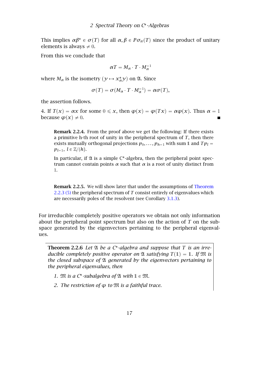This implies  $\alpha \beta^* \in \sigma(T)$  for all  $\alpha, \beta \in P \sigma_\pi(T)$  since the product of unitary elements is always  $\neq 0$ .

From this we conclude that

$$
\alpha T = M_{\alpha} \cdot T \cdot M_{\alpha}^{-1}
$$

where  $M_{\alpha}$  is the isometry  $(\mathcal{Y} \mapsto \mathcal{X}_{\alpha}^*\mathcal{Y})$  on  $\mathfrak{A}$ . Since

$$
\sigma(T) = \sigma(M_\alpha \cdot T \cdot M_\alpha^{-1}) = \alpha \sigma(T),
$$

the assertion follows.

4. If  $T(x) = \alpha x$  for some  $0 \le x$ , then  $\varphi(x) = \varphi(Tx) = \alpha \varphi(x)$ . Thus  $\alpha = 1$ because  $\varphi(x) \neq 0$ .  $\blacksquare$ 

Remark 2.2.4. From the proof above we get the following: If there exists a primitive h-th root of unity in the peripheral spectrum of *T*, then there exists mutually orthogonal projections  $p_0, \ldots, p_{h-1}$  with sum 1 and  $Tp_l =$  $p_{l-1}, l \in \mathbb{Z}/(h)$ .

In particular, if  $\mathfrak A$  is a simple C\*-algebra, then the peripheral point spectrum cannot contain points *α* such that *α* is a root of unity distinct from 1.

Remark 2.2.5. We will show later that under the assumptions of [Theorem](#page-15-0) [2.2.3 \(5\)](#page-15-0) the peripheral spectrum of *T* consist entirely of eigenvalues which are necessarily poles of the resolvent (see Corollary [3.1.3\)](#page-7-3).

For irreducible completely positive operators we obtain not only information about the peripheral point spectrum but also on the action of *T* on the subspace generated by the eigenvectors pertaining to the peripheral eigenvalues.

Theorem 2.2.6 Let  $\mathfrak A$  *be a C*<sup>\*</sup>-algebra and suppose that T is an irre*ducible completely positive operator on*  $\mathfrak A$  *satisfying*  $T(1) = 1$ *. If*  $\mathfrak M$  *is the closed subspace of* A *generated by the eigenvectors pertaining to the peripheral eigenvalues, then*

1.  $\mathfrak{M}$  *is a*  $C^*$ -subalgebra of  $\mathfrak{A}$  with  $1 \in \mathfrak{M}$ .

*2. The restriction of ϕ to* M *is a faithful trace.*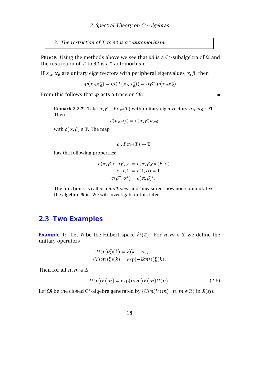*3. The restriction of T to* M *is a -automorhism.*

PROOF. Using the methods above we see that  $\mathfrak M$  is a C\*-subalgebra of  $\mathfrak A$  and the restriction of  $T$  to  $\mathfrak M$  is a  $^*$ -automorhism.

If *xα, x<sup>β</sup>* are unitary eigenvectors with peripheral eigenvalues *α, β*, then

$$
\varphi(x_{\alpha}x_{\beta}^*) = \varphi(T(x_{\alpha}x_{\beta}^*)) = \alpha\beta^*\varphi(x_{\alpha}x_{\beta}^*).
$$

From this follows that  $\varphi$  acts a trace on  $\mathfrak{M}$ .

Remark 2.2.7. Take  $\alpha, \beta \in P \sigma_\pi(T)$  with unitary eigenvectors  $u_\alpha, u_\beta \in \mathfrak{A}$ . Then

 $\blacksquare$ 

$$
T(u_{\alpha}u_{\beta})=c(\alpha,\beta)u_{\alpha\beta}
$$

with  $c(\alpha, \beta) \in \mathbb{T}$ . The map

$$
c: P\sigma_{\pi}(T) \to \mathbb{T}
$$

has the following properties:

$$
c(\alpha, \beta)c(\alpha\beta, \gamma) = c(\alpha, \beta\gamma)c(\beta, \gamma)
$$
  

$$
c(\alpha, 1) = c(1, \alpha) = 1
$$
  

$$
c(\beta^*, \alpha^*) = c(\alpha, \beta)^*.
$$

The function *c* is called a *multiplier* and "measures" how non-commutative the algebra  $\mathfrak M$  is. We will investigate in this later.

#### <span id="page-17-0"></span>2.3 Two Examples

**Example 1:** Let  $\mathfrak{H}$  be the Hilbert space  $\ell^2(\mathbb{Z})$ . For  $n,m \in \mathbb{Z}$  we define the unitary operators

$$
(U(n)\xi)(k) = \xi(k - n),
$$
  

$$
(V(m)\xi)(k) = \exp(-\mathrm{i}km)(\xi(k)).
$$

Then for all  $n, m \in \mathbb{Z}$ 

$$
U(n)V(m) = \exp(i n m)V(m)U(n).
$$
 (2.6)

Let  $\mathfrak M$  be the closed C\*-algebra generated by  $\{U(n)V(m)\colon n,m\in\mathbb Z\}$  in  $\mathcal B(\mathfrak H).$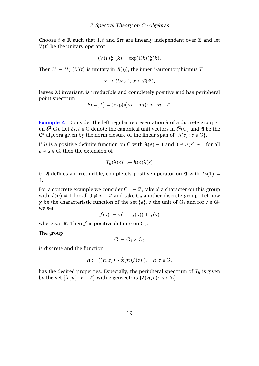Choose  $t \in \mathbb{R}$  such that 1, t and  $2\pi$  are linearly independent over  $\mathbb Z$  and let  $V(t)$  be the unitary operator

$$
(V(t)\xi)(k) = \exp(\mathrm{i} t k)(\xi(k)).
$$

Then  $U := U(1)V(t)$  is unitary in  $B(\mathfrak{H})$ , the inner \*-automorphismus *T* 

$$
x \mapsto UxU^*, \ x \in \mathcal{B}(\mathfrak{H}),
$$

leaves M invariant, is irreducible and completely positive and has peripheral point spectrum

$$
P\sigma_{\pi}(T)=\{\exp(\mathrm{i}(nt-m)\colon n,m\in\mathbb{Z}).
$$

**Example 2:** Consider the left regular representation  $\lambda$  of a discrete group G on  $\ell^2(G)$ . Let  $\delta_t$ ,  $t \in G$  denote the canonical unit vectors in  $\ell^2(G)$  and  $\mathfrak A$  be the C<sup>\*</sup>-algebra given by the norm closure of the linear span of  $\{\lambda(s): s \in G\}$ .

If *h* is a positive definite function on G with  $h(e) = 1$  and  $0 \neq h(s) \neq 1$  for all  $e \neq s \in G$ , then the extension of

$$
T_h(\lambda(s)) := h(s)\lambda(s)
$$

to  $\mathfrak A$  defines an irreducible, completely positive operator on  $\mathfrak A$  with  $T_h(1)$  = 1.

For a concrete example we consider  $G_1 := \mathbb{Z}$ , take  $\hat{x}$  a character on this group with  $\hat{x}(n) \neq 1$  for all  $0 \neq n \in \mathbb{Z}$  and take  $G_2$  another discrete group. Let now *χ* be the characteristic function of the set  $\{e\}$ , *e* the unit of  $G_2$  and for  $s \in G_2$ we set

$$
f(s) := a(1 - \chi(s)) + \chi(s)
$$

where  $a \in \mathbb{R}$ . Then *f* is positive definite on  $G_2$ .

The group

$$
G:=G_1\times G_2\,
$$

is discrete and the function

$$
h:=((n,s)\mapsto \hat{x}(n)f(s)),\quad n,s\in G,
$$

has the desired properties. Especially, the peripheral spectrum of  $T_h$  is given by the set  $\{\hat{\mathbf{x}}(n): n \in \mathbb{Z}\}$  with eigenvectors  $\{\lambda(n, e): n \in \mathbb{Z}\}.$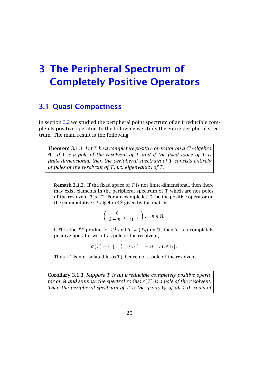### <span id="page-19-0"></span>3 The Peripheral Spectrum of Completely Positive Operators

#### <span id="page-19-1"></span>3.1 Quasi Compactness

In section [2.2](#page-13-0) we studied the peripheral point spectrum of an irreducible completely positive operator. In the following we study the entire peripheral spectrum. The main result is the following.

Theorem 3.1.1 *Let T be a completely positive operator on a C -algebra* A*. If* 1 *is a pole of the resolvent of T and if the fixed-space of T is finite-dimensional, then the peripheral spectrum of T consists entirely of poles of the resolvent of T, i.e. eigenvalues of T.*

Remark 3.1.2. If the fixed space of *T* is not finite-dimensional, then there may exist elements in the peripheral spectrum of *T* which are not poles of the resolvent  $R(\mu, T)$ . For an example let  $T_n$  be the positive operator on the (commutative  $C^*$ -algebra  $\mathbb{C}^2$  given by the matrix

$$
\left(\begin{array}{cc}0\\1-n^{-1}&n^{-1}\end{array}\right),\quad n\in\mathbb{N}.
$$

If  $\mathfrak A$  is the  $\ell^\infty$ -product of  $\mathbb C^2$  and  $T=(T_n)$  on  $\mathfrak A$ , then  $T$  is a completely positive operator with 1 as pole of the resolvent,

$$
\sigma(T) = \{1\} \cup \{-1\} \cup \{-1 + n^{-1} : n \in \mathbb{N}\}.
$$

Thus  $-1$  is not isolated in  $\sigma(T)$ , hence not a pole of the resolvent.

Corollary 3.1.3 *Suppose T is an irreducible completely positive operator on*  $\mathfrak A$  *and suppose the spectral radius*  $r(T)$  *is a pole of the resolvent. Then the peripheral spectrum of <sup>T</sup> is the group* <sup>Γ</sup>*<sup>k</sup> of all <sup>k</sup>-th roots of*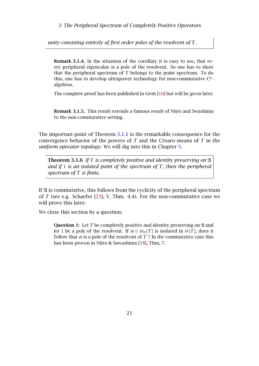3 The Peripheral Spectrum of Completely Positive Operators

*unity consisting entirely of first order poles of the resolvent of T.*

Remark 3.1.4. In the situation of the corollary it is easy to see, that every peripheral eigenvalue is a pole of the resolvent. So one has to show that the peripheral spectrum of *T* belongs to the point spectrum. To do this, one has to develop ultrapower technology for non-commutative C\*algebras.

The complete proof has been published in Groh [\[10\]](#page-31-11) but will be given later.

Remark 3.1.5. This result extends a famous result of Niiro and Swashima to the non-commutative setting.

The important point of Theorem [3.1.1](#page-5-3) is the remarkable consequence for the convergence behavior of the powers of *T* and the Césaro means of *T* in the *uniform operator topology*. We will dig into this in Chapter [5.](#page-25-0)

Theorem 3.1.6 *If T is completely positive and identity preserving on* A *and if* 1 *is an isolated point of the spectrum of T, then the peripheral spectrum of T is finite.*

If  $\mathfrak A$  is commutative, this follows from the cyclicity of the peripheral spectrum of *T* (see e.g. Schaefer [\[23\]](#page-32-1), V. Thm. 4.4). For the non-commutative case we will prove this later.

We close this section by a question:

Question 1: Let *T* be completely positive and identity preserving on  $\mathfrak A$  and let 1 be a pole of the resolvent. If  $\alpha \in \sigma_{\pi}(T)$  is isolated in  $\sigma(T)$ , does it follow that  $\alpha$  is a pole of the resolvent of  $T$ ? In the commutative case this has been proven in Niiro & Sawashima [\[18\]](#page-32-8), Thm, 7.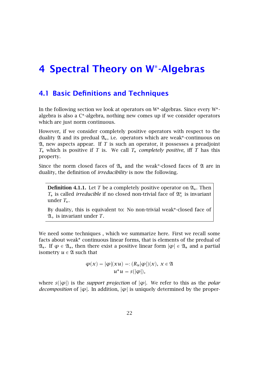# <span id="page-21-0"></span>4 Spectral Theory on W -Algebras

#### <span id="page-21-1"></span>4.1 Basic Definitions and Techniques

In the following section we look at operators on W<sup>\*</sup>-algebras. Since every W<sup>\*</sup>algebra is also a C\*-algebra, nothing new comes up if we consider operators which are just norm continuous.

However, if we consider completely positive operators with respect to the duality  $\mathfrak A$  and its predual  $\mathfrak A_*$ , i.e. operators which are weak\*-continuous on  $\mathfrak{A}$ , new aspects appear. If  $T$  is such an operator, it possesses a preadjoint *T* which is positive if *T* is. We call *T completely positive*, iff *T* has this property.

Since the norm closed faces of  $\mathfrak{A}_*$  and the weak\*-closed faces of  $\mathfrak A$  are in duality, the definition of *irreducibility* is now the following.

**Definition 4.1.1.** Let *T* be a completely positive operator on  $\mathfrak{A}_*$ . Then  $T_*$  is called *irreducible* if no closed non-trivial face of  $\mathfrak{A}^*_+$  is invariant under *T*.

By duality, this is equivalent to: No non-trivial weak -closed face of  $\mathfrak{A}_+$  is invariant under *T*.

We need some techniques , which we summarize here. First we recall some facts about weak<sup>\*</sup> continuous linear forms, that is elements of the predual of  $\mathfrak{A}_*$ . If  $\varphi \in \mathfrak{A}_*$ , then there exist a positive linear form  $|\varphi| \in \mathfrak{A}_*$  and a partial isometry  $u \in \mathfrak{A}$  such that

$$
\varphi(x) = |\varphi|(xu) =: (R_u|\varphi|)(x), \ x \in \mathfrak{A}
$$

$$
u^*u = s(|\varphi|),
$$

where  $s(|\varphi|)$  is the *support projection* of  $|\varphi|$ . We refer to this as the *polar decomposition* of  $|\varphi|$ . In addition,  $|\varphi|$  is uniquely determined by the proper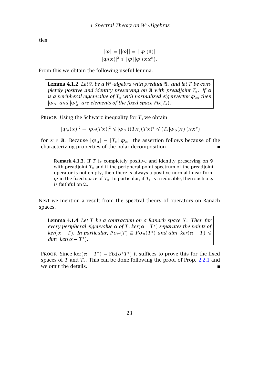ties

$$
\|\varphi\| = \|\varphi\| = \|\varphi|(1)\|
$$
  

$$
|\varphi(x)|^2 \leqslant \|\varphi\| \|\varphi|(xx^*).
$$

From this we obtain the following useful lemma.

Lemma 4.1.2 *Let* A *be a W -algebra with predual* A *and let T be completely positive and identity preserving on* A *with preadjoint T. If α is a peripheral eigenvalue of*  $T_*$  *with normalized eigenvector*  $\varphi_\alpha$ *, then*  $|\varphi_\alpha|$  *and*  $|\varphi^*_\alpha|$  are elements of the fixed space Fix $(T_*)$ .

PROOF. Using the Schwarz inequality for *T*, we obtain

$$
|\boldsymbol{\varphi}_{\alpha}(\boldsymbol{x})|^2=|\boldsymbol{\varphi}_{\alpha}(T\boldsymbol{x})|^2\leqslant |\boldsymbol{\varphi}_{\alpha}|((T\boldsymbol{x})(T\boldsymbol{x})^*\leqslant (T_*|\boldsymbol{\varphi}_{\alpha}(\boldsymbol{x})|(\boldsymbol{x}\boldsymbol{x}^*)
$$

for  $x \in \mathfrak{A}$ . Because  $|\varphi_{\alpha}| = |T_{*}||\varphi_{\alpha}|$ , the assertion follows because of the characterizing properties of the polar decomposition.

**Remark 4.1.3.** If  $T$  is completely positive and identity preserving on  $\mathfrak A$ with preadjoint  $T_*$  and if the peripheral point spectrum of the preadjoint operator is not empty, then there is always a positive normal linear form  $\varphi$  in the fixed space of  $T_*$ . In particular, if  $T_*$  is irreducible, then such a  $\varphi$ is faithful on 21.

Next we mention a result from the spectral theory of operators on Banach spaces.

Lemma 4.1.4 *Let T be a contraction on a Banach space X. Then for every peripheral eigenvalue*  $\alpha$  *of*  $T$ *, ker*( $\alpha - T^*$ ) *separates the points of ker*( $\alpha$  – *T*). In particular,  $P\sigma_{\pi}(T) \subseteq P\sigma_{\pi}(T^*)$  and dim ker( $\alpha$  – *T*)  $\leq$ *dim*  $\text{ker}(\alpha - T^*)$ .

PROOF. Since  $\text{ker}(\alpha - T^*) = \text{Fix}(\alpha^*T^*)$  it suffices to prove this for the fixed spaces of *T* and *T*<sub>\*</sub>. This can be done following the proof of Prop. [2.2.1](#page-5-3) and we omit the details.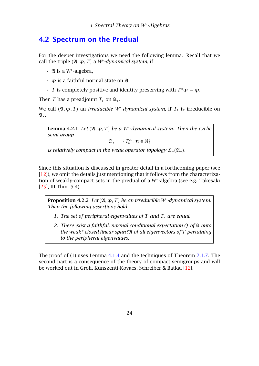#### <span id="page-23-0"></span>4.2 Spectrum on the Predual

For the deeper investigations we need the following lemma. Recall that we call the triple  $(\mathfrak{A}, \varphi, T)$  a *W*<sup>\*</sup>-dynamical system, if

- $\cdot$  24 is a W\*-algebra,
- *ϕ* is a faithful normal state on A
- $\cdot$  *T* is completely positive and identity preserving with  $T^*\varphi = \varphi$ .

Then *T* has a preadjount  $T_*$  on  $\mathfrak{A}_*$ .

We call  $(λ, φ, T)$  an *irreducible W<sup>\*</sup>-dynamical system*, if  $T_*$  is irreducible on  $\mathfrak{A}_*$ .

**Lemma 4.2.1** Let  $(\mathfrak{A}, \varphi, T)$  be a W<sup>\*</sup>-dynamical system. Then the cyclic *semi-group*

 $\mathfrak{S}_* := \{T_*^n \colon n \in \mathbb{N}\}$ 

*is relatively compact in the weak operator topology*  $L_w(\mathfrak{A}_*)$ .

Since this situation is discussed in greater detail in a forthcoming paper (see [\[12\]](#page-31-12)), we omit the details just mentioning that it follows from the characterization of weakly-compact sets in the predual of a W -algebra (see e.g. Takesaki [\[25\]](#page-32-0), III Thm. 5.4).

Proposition 4.2.2 Let  $(\mathfrak{A}, \varphi, T)$  be an irreducible W<sup>\*</sup>-dynamical system. *Then the following assertions hold.*

- *1. The set of peripheral eigenvalues of T and T are equal.*
- *2. There exist a faithful, normal conditional expectation Q of* A *onto the weak\*-closed linear span* M *of all eigenvectors of T pertaining to the peripheral eigenvalues.*

The proof of (1) uses Lemma [4.1.4](#page-7-2) and the techniques of Theorem [2.1.7.](#page-12-0) The second part is a consequence of the theory of compact semigroups and will be worked out in Groh, Kunszenti-Kovacs, Schreiber & Batkai [\[12\]](#page-31-12).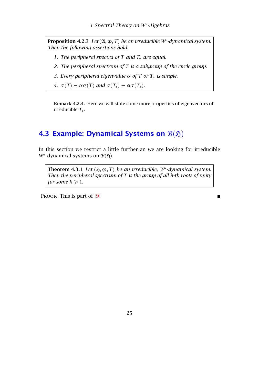Proposition 4.2.3 Let  $(\mathfrak{A}, \varphi, T)$  be an irreducible W<sup>\*</sup>-dynamical system. *Then the following assertions hold.*

- *1. The peripheral spectra of T* and *T*<sub>*i*</sub> are equal.
- *2. The peripheral spectrum of T is a subgroup of the circle group.*
- *3. Every peripheral eigenvalue α of T or T is simple.*
- *4.*  $\sigma(T) = \alpha \sigma(T)$  *and*  $\sigma(T_*) = \alpha \sigma(T_*)$ *.*

Remark 4.2.4. Here we will state some more properties of eigenvectors of irreducible *T*.

#### <span id="page-24-0"></span>4.3 Example: Dynamical Systems on  $\mathcal{B}(\mathfrak{H})$

In this section we restrict a little further an we are looking for irreducible W<sup>\*</sup>-dynamical systems on  $\mathcal{B}(\mathfrak{H})$ .

**Theorem 4.3.1** Let  $(\mathfrak{H}, \varphi, T)$  be an irreducible, W<sup>\*</sup>-dynamical system. *Then the peripheral spectrum of T is the group of all h-th roots of unity for some*  $h \geq 1$ *.* 

PROOF. This is part of [\[9\]](#page-31-13)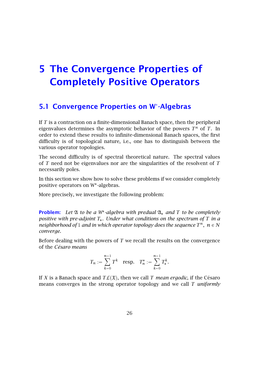### <span id="page-25-0"></span>5 The Convergence Properties of Completely Positive Operators

#### <span id="page-25-1"></span>5.1 Convergence Properties on W -Algebras

If *T* is a contraction on a finite-dimensional Banach space, then the peripheral eigenvalues determines the asymptotic behavior of the powers  $T^n$  of  $T$ . In order to extend these results to infinite-dimensional Banach spaces, the first difficulty is of topological nature, i.e., one has to distinguish between the various operator topologies.

The second difficulty is of spectral theoretical nature. The spectral values of *T* need not be eigenvalues nor are the singularities of the resolvent of *T* necessarily poles.

In this section we show how to solve these problems if we consider completely positive operators on W -algebras.

More precisely, we investigate the following problem:

**Problem:** Let  $\mathfrak A$  to be a W<sup>\*</sup>-algebra with predual  $\mathfrak A_*$  and T to be completely *positive with pre-adjoint T. Under what conditions on the spectrum of T in a neighborhood of* 1 *and in which operator topology does the sequence*  $T^n$ ,  $n \in N$ *converge.*

Before dealing with the powers of *T* we recall the results on the convergence of the *Césaro means*

$$
T_n := \sum_{k=0}^{n-1} T^k \quad \text{resp.} \quad T_n^* := \sum_{k=0}^{n-1} T_*^k.
$$

If *X* is a Banach space and  $TL(\mathfrak{X})$ , then we call *T mean ergodic*, if the Césaro means converges in the strong operator topology and we call *T uniformly*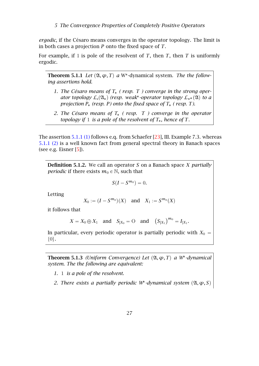*ergodic*, if the Césaro means converges in the operator topology. The limit is in both cases a projection *P* onto the fixed space of *T*.

For example, if 1 is pole of the resolvent of *T*, then *T*, then *T* is uniformly ergodic.

**Theorem 5.1.1** Let  $(\mathfrak{A}, \varphi, T)$  a W<sup>\*</sup>-dynamical system. The the follow*ing assertions hold.*

- <span id="page-26-0"></span>*1. The Césaro means of T ( resp. T ) converge in the strong oper*ator topology  $\mathcal{L}_s(\mathfrak{A}_*)$  (resp. weak\*-operator topology  $\mathcal{L}_{w^*}(\mathfrak{A})$  to a *projection*  $P_*$  (resp. P) onto the fixed space of  $T_*$  (resp. T).
- *2. The Césaro means of T ( resp. T ) converge in the operator topology if* 1 *is a pole of the resolvent of*  $T_*$ *, hence of*  $T$ *.*

The assertion [5.1.1 \(1\)](#page-26-0) follows e.q. from Schaefer [\[23\]](#page-32-1), III. Example 7.3. whereas [5.1.1 \(2\)](#page-26-0) is a well known fact from general spectral theory in Banach spaces (see e.g. Eisner  $[5]$ ).

Definition 5.1.2. We call an operator *S* on a Banach space *X partially periodic* if there exists  $m_0 \in \mathbb{N}$ , such that

$$
S(I-S^{m_0})=0.
$$

Letting

$$
X_0 := (I - S^{m_0})(X)
$$
 and  $X_1 := S^{m_0}(X)$ 

it follows that

$$
X = X_0 \oplus X_1
$$
 and  $S_{|X_0} = O$  and  $(S_{|X_1})^{m_0} = I_{|X_1}$ .

In particular, every periodic operator is partially periodic with  $X_0 =$  $\{0\}.$ 

**Theorem 5.1.3** *(Uniform Convergence) Let*  $($ Ω, φ, *T*) *a W*<sup>\*</sup>-*dynamical system. The the following are equivalent:*

- *1.* 1 *is a pole of the resolvent.*
- *2. There exists a partially periodic W*<sup>\*</sup>-dynamical system  $(\mathfrak{A}, \varphi, S)$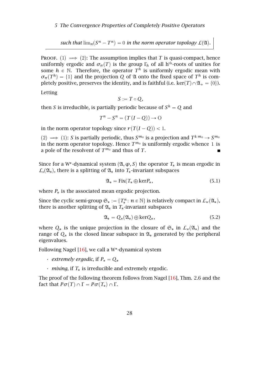#### 5 The Convergence Properties of Completely Positive Operators

*such that*  $\lim_{n} (S^n - T^n) = 0$  *in the norm operator topology*  $\mathcal{L}(\mathfrak{A})$ *.* 

PROOF. (1)  $\implies$  (2): The assumption implies that *T* is quasi-compact, hence uniformly ergodic and  $\sigma_{\pi}(T)$  is the group  $\Gamma_h$  of all h<sup>th</sup>-roots of unities for some  $h \in \mathbb{N}$ . Therefore, the operator  $T^h$  is uniformly ergodic mean with  $\sigma_{\pi}(T^h) = \{1\}$  and the projection *Q* of  $\mathfrak A$  onto the fixed space of  $T^h$  is completely positive, preserves the identity, and is faithful (i.e.  $\text{ker}(T) \cap \mathfrak{A}_{+} = \{0\}$ ).

Letting

$$
S:=T\circ Q,
$$

then *S* is irreducible, is partially periodic because of  $S^h = Q$  and

$$
T^{n} - S^{n} = (T (I - Q)) \rightarrow O
$$

in the norm operator topology since  $r(T(I - Q)) < 1$ .

 $p(2) \implies (1)$ : *S* is partially periodic, thus  $S^{m_0}$  is a projection and  $T^{k,m_0} \to S^{m_0}$ in the norm operator topology. Hence  $T^{m_0}$  is uniformly ergodic whence 1 is a pole of the resolvent of  $T^{m_0}$  and thus of *T*.

Since for a W<sup>\*</sup>-dynamical system  $(\mathfrak{A}, \varphi, S)$  the operator  $T_*$  is mean ergodic in  $\mathcal{L}_s(\mathfrak{A}_*)$ , there is a splitting of  $\mathfrak{A}_*$  into  $T_*$ -invariant subspaces

$$
\mathfrak{A}_* = \text{Fix}(T_* \oplus \text{ker} P_*,\tag{5.1}
$$

where  $P_*$  is the associated mean ergodic projection.

Since the cyclic semi-group  $\mathfrak{S}_* := \{T_*^n : n \in \mathbb{N}\}\$ is relatively compact in  $\mathcal{L}_{w}(\mathfrak{A}_*)$ , there is another splitting of  $\mathfrak{A}_*$  in  $T_*$ -invariant subspaces

$$
\mathfrak{A}_* = Q_*(\mathfrak{A}_*) \oplus \ker Q_*,\tag{5.2}
$$

where  $Q_*$  is the unique projection in the closure of  $\mathfrak{S}_*$  in  $\mathcal{L}_w(\mathfrak{A}_*)$  and the range of  $Q_*$  is the closed linear subspace in  $\mathfrak{A}_*$  generated by the peripheral eigenvalues.

Following Nagel [\[16\]](#page-31-15), we call a W<sup>\*</sup>-dynamical system

- $\cdot$  *extremely ergodic, if*  $P_* = Q_*$
- $\cdot$  *mixing*, if  $T_*$  is irreducible and extremely ergodic.

The proof of the following theorem follows from Nagel [\[16\]](#page-31-15), Thm. 2.6 and the fact that  $P\sigma(T) \cap \Gamma = P\sigma(T_*) \cap \Gamma$ .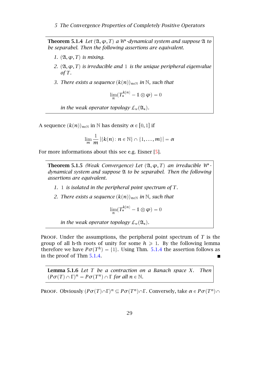5 The Convergence Properties of Completely Positive Operators

**Theorem 5.1.4** Let  $(\mathfrak{A}, \varphi, T)$  a W<sup>\*</sup>-dynamical system and suppose  $\mathfrak{A}$  to *be separabel. Then the following assertions are equivalent.*

- *1.*  $(\mathfrak{A}, \varphi, T)$  *is mixing.*
- *2.*  $(\mathfrak{A}, \varphi, T)$  *is irreducible and* 1 *is the unique peripheral eigenvalue of T.*
- *3. There exists a sequence*  $(k(n))_{n\in\mathbb{N}}$  *in* N*, such that*

$$
\lim_{n} (T_*^{k(n)} - 1 \otimes \varphi) = 0
$$

*in the weak operator topology*  $L_w(\mathfrak{A}_*)$ *.* 

A sequence  $(k(n))_{n\in\mathbb{N}}$  in N has density  $\alpha \in [0,1]$  if

$$
\lim_{m}\frac{1}{m}\left|\{k(n):n\in\mathbb{N}\}\cap\{1,\ldots,m\}\right|=\alpha
$$

For more informations about this see e.g. Eisner [\[5\]](#page-31-14).

**Theorem 5.1.5** *(Weak Convergence)* Let  $(\mathfrak{A}, \varphi, T)$  *an irreducible*  $W^*$ *dynamical system and suppose* A *to be separabel. Then the following assertions are equivalent.*

- *1.* 1 *is isolated in the peripheral point spectrum of T.*
- *2. There exists a sequence*  $(k(n))_{n\in\mathbb{N}}$  *in* N*, such that*

$$
\lim_n (T^{k(n)}_* - 1\!\!1 \otimes \boldsymbol{\phi}) = 0
$$

*in the weak operator topology*  $L_w(\mathfrak{A}_*)$ *.* 

PROOF. Under the assumptions, the peripheral point spectrum of  $T$  is the group of all h-th roots of unity for some  $h \geq 1$ . By the following lemma therefore we have  $P\sigma(T^h) = \{1\}$ . Using Thm. [5.1.4](#page-7-2) the assertion follows as in the proof of Thm [5.1.4.](#page-7-2)

Lemma 5.1.6 *Let T be a contraction on a Banach space X. Then*  $(P\sigma(T) \cap \Gamma)^n = P\sigma(T^n) \cap \Gamma$  *for all*  $n \in \mathbb{N}$ *.* 

**PROOF.** Obviously  $(P\sigma(T) \cap \Gamma)^n \subseteq P\sigma(T^n) \cap \Gamma$ . Conversely, take  $\alpha \in P\sigma(T^n) \cap \Gamma$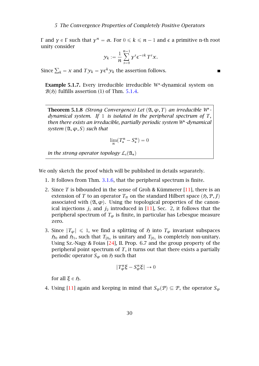*Γ* and *γ* ∈ *Γ* such that *γ*<sup>*n*</sup> = α. For  $0 \le k \le n - 1$  and  $\epsilon$  a primitive n-th root unity consider unity consider

$$
y_k := \frac{1}{n} \sum_{s=0}^{n-1} y^s \epsilon^{-sk} T^s x.
$$

П

Since  $\sum_k = x$  and  $T y_k = y \epsilon^k y_k$  the assertion follows.

Example 5.1.7. Every irreducible irreducible W<sup>\*</sup>-dynamical system on  $B(5)$  fulfills assertion (1) of Thm. [5.1.4.](#page-7-2)

**Theorem 5.1.8** *(Strong Convergence)* Let  $(\mathfrak{A}, \varphi, T)$  *an irreducible*  $W^*$ *dynamical system. If* 1 *is isolated in the peripheral spectrum of T, then there exists an irreducible, partially periodic system W -dynamical system*  $(\mathfrak{A}, \varphi, S)$  *such that* 

$$
\lim_n (T^n_* - S^n_*) = 0
$$

*in the strong operator topology*  $\mathcal{L}_s(\mathfrak{A}_*)$ 

We only sketch the proof which will be published in details separately.

- 1. It follows from Thm. [3.1.6,](#page-8-0) that the peripheral spectrum is finite.
- 2. Since *T* is bibounded in the sense of Groh & Kümmerer [\[11\]](#page-31-16), there is an extension of *T* to an operator  $T_\pi$  on the standard Hilbert space  $(\mathfrak{H}, P, J)$ associated with  $(\mathfrak{A}, \varphi)$ . Using the topological properties of the canonical injections  $j_1$  and  $j_2$  introduced in [\[11\]](#page-31-16), Sec. 2, it follows that the peripheral spectrum of  $T_{\varphi}$  is finite, in particular has Lebesgue measure zero.
- 3. Since  $|T_{\varphi}| \leq 1$ , we find a splitting of  $\mathfrak{H}$  into  $T_{\varphi}$  invariant subspaces  $\mathfrak{H}_0$  and  $\mathfrak{H}_1$ , such that  $T_{|\mathfrak{H}_0}$  is unitary and  $T_{|\mathfrak{H}_1}$  is completely non-unitary. Using Sz.-Nagy & Foias [\[24\]](#page-32-9), II. Prop. 6.7 and the group property of the peripheral point spectrum of *T*, it turns out that there exists a partially periodic operator  $S_\varphi$  on  $\tilde{p}$  such that

$$
||T_{\varphi}^n \xi - S_{\varphi}^n \xi|| \to 0
$$

for all  $\xi \in$  *ξ*.

4. Using [\[11\]](#page-31-16) again and keeping in mind that  $S_{\varphi}(P) \subseteq P$ , the operator  $S_{\varphi}$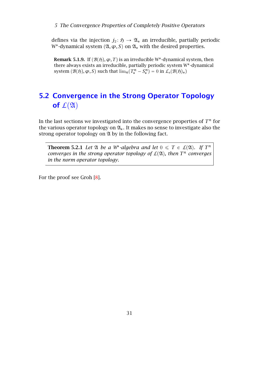defines via the injection  $j_2 \colon \mathfrak{H} \to \mathfrak{A}_*$  an irreducible, partially periodic W<sup>\*</sup>-dynamical system  $(\mathfrak{A}, \varphi, S)$  on  $\mathfrak{A}_*$  with the desired properties.

**Remark 5.1.9.** If  $(B(5), \varphi, T)$  is an irreducible W<sup>\*</sup>-dynamical system, then there always exists an irreducible, partially periodic system W -dynamical system  $(\mathcal{B}(5), \varphi, S)$  such that  $\lim_{n}(T_*^n - S_*^n) = 0$  in  $\mathcal{L}_s(\mathcal{B}(5)_*)$ 

### <span id="page-30-0"></span>5.2 Convergence in the Strong Operator Topology of  $\mathcal{L}(\mathfrak{A})$

In the last sections we investigated into the convergence properties of  $T^n$  for the various operator topology on  $\mathfrak{A}_*$ . It makes no sense to investigate also the strong operator topology on  $\mathfrak A$  by in the following fact.

**Theorem 5.2.1** Let  $\mathfrak A$  be a W<sup>\*</sup>-algebra and let  $0 \leq T \in \mathcal L(\mathfrak A)$ . If  $T^n$ *converges in the strong operator topology of*  $\mathcal{L}(\mathfrak{A})$ *, then*  $T^n$  *converges in the norm operator topology.*

For the proof see Groh [\[8\]](#page-31-17).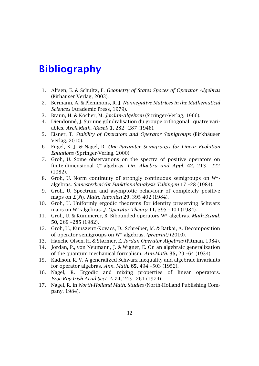### <span id="page-31-0"></span>Bibliography

- <span id="page-31-6"></span>1. Alfsen, E. & Schultz, F. *Geometry of States Spaces of Operator Algebras* (Birhäuser Verlag, 2003).
- <span id="page-31-2"></span>2. Bermann, A. & Plemmons, R. J. *Nonnegative Matrices in the Mathematical Sciences* (Academic Press, 1979).
- <span id="page-31-5"></span>3. Braun, H. & Köcher, M. *Jordan-Algebren* (Springer-Verlag, 1966).
- <span id="page-31-9"></span>4. Dieudonné, J. Sur une gdndralisation du groupe orthogonal quatre variables. *Arch.Math. (Basel)* 1, 282 –287 (1948).
- <span id="page-31-14"></span>5. Eisner, T. *Stability of Operators and Operator Semigroups* (Birkhäuser Verlag, 2010).
- <span id="page-31-3"></span>6. Engel, K.-J. & Nagel, R. *One-Paramter Semigroups for Linear Evolution Equations* (Springer-Verlag, 2000).
- <span id="page-31-10"></span>7. Groh, U. Some observations on the spectra of positive operators on finite-dimensional C\*-algebras. Lin. Algebra and Appl. 42, 213 -222 (1982).
- <span id="page-31-17"></span>8. Groh, U. Norm continuity of strongly continuous semigroups on W algebras. *Semesterbericht Funktionalanalysis Tübingen* 17 –28 (1984).
- <span id="page-31-13"></span>9. Groh, U. Spectrum and asymptotic behaviour of completely positive maps on  $\mathcal{L}(5)$ . *Math. Japonica* 29, 395 402 (1984).
- <span id="page-31-11"></span>10. Groh, U. Uniformly ergodic theorems for identity preserving Schwarz maps on W -algebras. *J. Operator Theory* 11, 395 –404 (1984).
- <span id="page-31-16"></span>11. Groh, U. & Kümmerer, B. Bibounded operators W -algebras. *Math.Scand.* 50, 269 –285 (1982).
- <span id="page-31-12"></span>12. Groh, U., Kunszenti-Kovacs, D., Schreiber, M. & Batkai, A. Decomposition of operator semigroups on W -algebras. *(preprint)* (2010).
- <span id="page-31-7"></span>13. Hanche-Olsen, H. & Størmer, E. *Jordan Operator Algebras* (Pitman, 1984).
- <span id="page-31-8"></span>14. Jordan, P., von Neumann, J. & Wigner, E. On an algebraic generalization of the quantum mechanical formalism. *Ann.Math.* 35, 29 –64 (1934).
- <span id="page-31-1"></span>15. Kadison, R. V. A generalized Schwarz inequality and algebraic invariants for operator algebras. *Ann. Math.* 65, 494 –503 (1952).
- <span id="page-31-15"></span>16. Nagel, R. Ergodic and mixing properties of linear operators. *Proc.Roy.Irish.Acad.Sect. A* 74, 245 –261 (1974).
- <span id="page-31-4"></span>17. Nagel, R. in *North-Holland Math. Studies* (North-Holland Publishing Company, 1984).